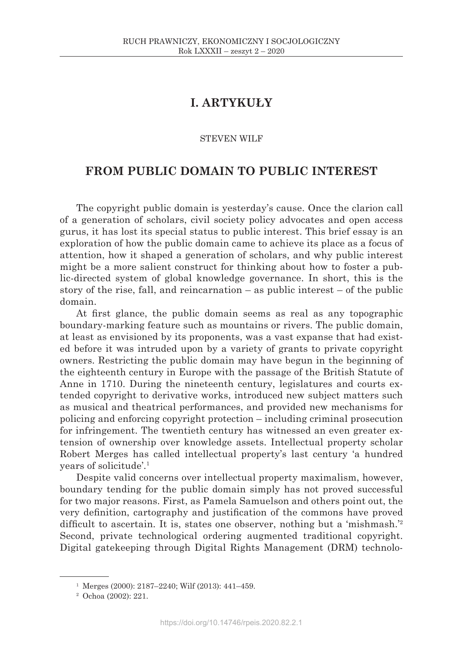# **I. ARTYKUŁY**

## STEVEN WILF

## **FROM PUBLIC DOMAIN TO PUBLIC INTEREST**

The copyright public domain is yesterday's cause. Once the clarion call of a generation of scholars, civil society policy advocates and open access gurus, it has lost its special status to public interest. This brief essay is an exploration of how the public domain came to achieve its place as a focus of attention, how it shaped a generation of scholars, and why public interest might be a more salient construct for thinking about how to foster a public-directed system of global knowledge governance. In short, this is the story of the rise, fall, and reincarnation – as public interest – of the public domain.

At first glance, the public domain seems as real as any topographic boundary-marking feature such as mountains or rivers. The public domain, at least as envisioned by its proponents, was a vast expanse that had existed before it was intruded upon by a variety of grants to private copyright owners. Restricting the public domain may have begun in the beginning of the eighteenth century in Europe with the passage of the British Statute of Anne in 1710. During the nineteenth century, legislatures and courts extended copyright to derivative works, introduced new subject matters such as musical and theatrical performances, and provided new mechanisms for policing and enforcing copyright protection – including criminal prosecution for infringement. The twentieth century has witnessed an even greater extension of ownership over knowledge assets. Intellectual property scholar Robert Merges has called intellectual property's last century 'a hundred years of solicitude'.1

Despite valid concerns over intellectual property maximalism, however, boundary tending for the public domain simply has not proved successful for two major reasons. First, as Pamela Samuelson and others point out, the very definition, cartography and justification of the commons have proved difficult to ascertain. It is, states one observer, nothing but a 'mishmash.'<sup>2</sup> Second, private technological ordering augmented traditional copyright. Digital gatekeeping through Digital Rights Management (DRM) technolo-

 $1$  Merges (2000): 2187–2240; Wilf (2013): 441–459.

<sup>2</sup> Ochoa (2002): 221.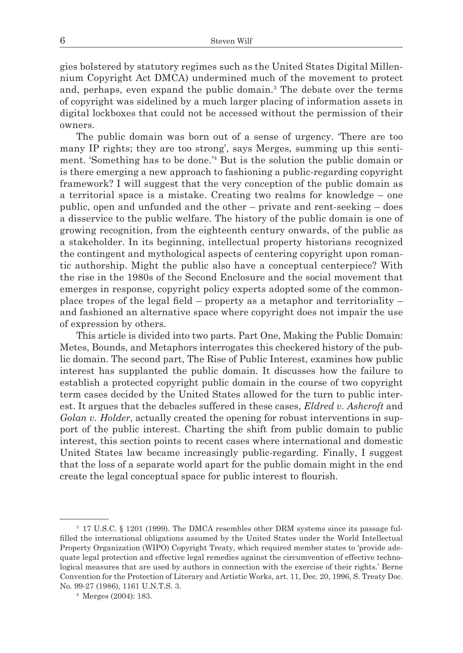gies bolstered by statutory regimes such as the United States Digital Millennium Copyright Act DMCA) undermined much of the movement to protect and, perhaps, even expand the public domain.<sup>3</sup> The debate over the terms of copyright was sidelined by a much larger placing of information assets in digital lockboxes that could not be accessed without the permission of their owners.

The public domain was born out of a sense of urgency. 'There are too many IP rights; they are too strong', says Merges, summing up this sentiment. 'Something has to be done.'4 But is the solution the public domain or is there emerging a new approach to fashioning a public-regarding copyright framework? I will suggest that the very conception of the public domain as a territorial space is a mistake. Creating two realms for knowledge – one public, open and unfunded and the other – private and rent-seeking – does a disservice to the public welfare. The history of the public domain is one of growing recognition, from the eighteenth century onwards, of the public as a stakeholder. In its beginning, intellectual property historians recognized the contingent and mythological aspects of centering copyright upon romantic authorship. Might the public also have a conceptual centerpiece? With the rise in the 1980s of the Second Enclosure and the social movement that emerges in response, copyright policy experts adopted some of the commonplace tropes of the legal field – property as a metaphor and territoriality – and fashioned an alternative space where copyright does not impair the use of expression by others.

This article is divided into two parts. Part One, Making the Public Domain: Metes, Bounds, and Metaphors interrogates this checkered history of the public domain. The second part, The Rise of Public Interest, examines how public interest has supplanted the public domain. It discusses how the failure to establish a protected copyright public domain in the course of two copyright term cases decided by the United States allowed for the turn to public interest. It argues that the debacles suffered in these cases, *Eldred v. Ashcroft* and *Golan v. Holder*, actually created the opening for robust interventions in support of the public interest. Charting the shift from public domain to public interest, this section points to recent cases where international and domestic United States law became increasingly public-regarding. Finally, I suggest that the loss of a separate world apart for the public domain might in the end create the legal conceptual space for public interest to flourish.

<sup>3</sup> 17 U.S.C. § 1201 (1999). The DMCA resembles other DRM systems since its passage fulfilled the international obligations assumed by the United States under the World Intellectual Property Organization (WIPO) Copyright Treaty, which required member states to 'provide adequate legal protection and effective legal remedies against the circumvention of effective technological measures that are used by authors in connection with the exercise of their rights.' Berne Convention for the Protection of Literary and Artistic Works, art. 11, Dec. 20, 1996, S. Treaty Doc. No. 99-27 (1986), 1161 U.N.T.S. 3.

<sup>4</sup> Merges (2004): 183.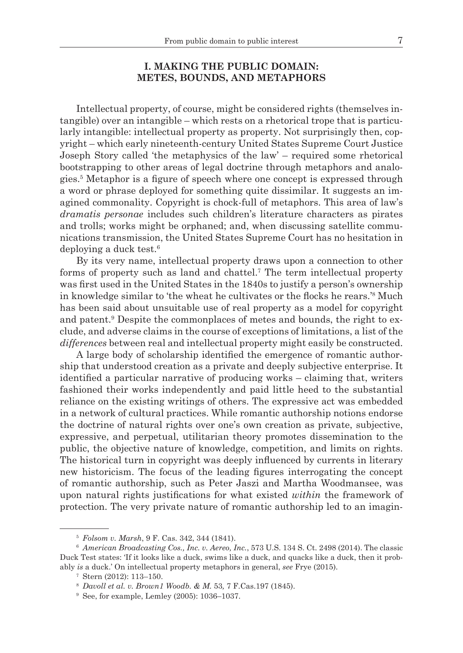## **I. MAKING THE PUBLIC DOMAIN: METES, BOUNDS, AND METAPHORS**

Intellectual property, of course, might be considered rights (themselves intangible) over an intangible – which rests on a rhetorical trope that is particularly intangible: intellectual property as property. Not surprisingly then, copyright – which early nineteenth-century United States Supreme Court Justice Joseph Story called 'the metaphysics of the law' – required some rhetorical bootstrapping to other areas of legal doctrine through metaphors and analogies.5 Metaphor is a figure of speech where one concept is expressed through a word or phrase deployed for something quite dissimilar. It suggests an imagined commonality. Copyright is chock-full of metaphors. This area of law's *dramatis personae* includes such children's literature characters as pirates and trolls; works might be orphaned; and, when discussing satellite communications transmission, the United States Supreme Court has no hesitation in deploying a duck test.6

By its very name, intellectual property draws upon a connection to other forms of property such as land and chattel.<sup>7</sup> The term intellectual property was first used in the United States in the 1840s to justify a person's ownership in knowledge similar to 'the wheat he cultivates or the flocks he rears.'<sup>8</sup> Much has been said about unsuitable use of real property as a model for copyright and patent.<sup>9</sup> Despite the commonplaces of metes and bounds, the right to exclude, and adverse claims in the course of exceptions of limitations, a list of the *differences* between real and intellectual property might easily be constructed.

A large body of scholarship identified the emergence of romantic authorship that understood creation as a private and deeply subjective enterprise. It identified a particular narrative of producing works – claiming that, writers fashioned their works independently and paid little heed to the substantial reliance on the existing writings of others. The expressive act was embedded in a network of cultural practices. While romantic authorship notions endorse the doctrine of natural rights over one's own creation as private, subjective, expressive, and perpetual, utilitarian theory promotes dissemination to the public, the objective nature of knowledge, competition, and limits on rights. The historical turn in copyright was deeply influenced by currents in literary new historicism. The focus of the leading figures interrogating the concept of romantic authorship, such as Peter Jaszi and Martha Woodmansee, was upon natural rights justifications for what existed *within* the framework of protection. The very private nature of romantic authorship led to an imagin-

<sup>5</sup> *Folsom v. Marsh*, 9 F. Cas. 342, 344 (1841). 6 *American Broadcasting Cos., Inc. v. Aereo, Inc.*, 573 U.S. 134 S. Ct. 2498 (2014). The classic Duck Test states: 'If it looks like a duck, swims like a duck, and quacks like a duck, then it probably *is* a duck.' On intellectual property metaphors in general, *see* Frye (2015). 7 Stern (2012): 113–150. 8 *Davoll et al. v. Brown1 Woodb. & M.* <sup>53</sup>*,* 7 F.Cas.197 (1845).

<sup>9</sup> See, for example, Lemley (2005): 1036–1037.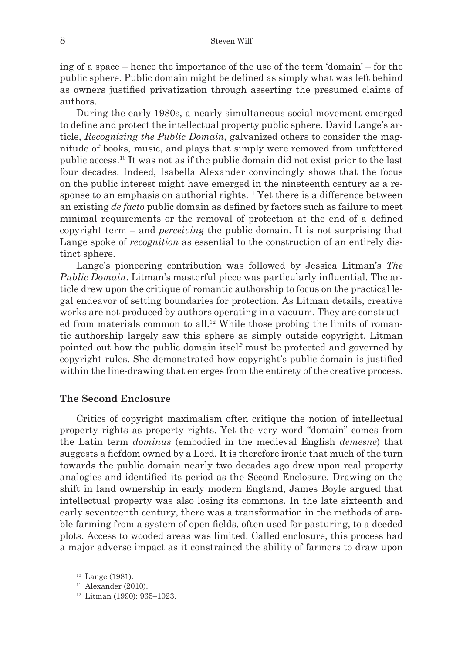ing of a space – hence the importance of the use of the term 'domain' – for the public sphere. Public domain might be defined as simply what was left behind as owners justified privatization through asserting the presumed claims of authors.

During the early 1980s, a nearly simultaneous social movement emerged to define and protect the intellectual property public sphere. David Lange's article, *Recognizing the Public Domain*, galvanized others to consider the magnitude of books, music, and plays that simply were removed from unfettered public access.10 It was not as if the public domain did not exist prior to the last four decades. Indeed, Isabella Alexander convincingly shows that the focus on the public interest might have emerged in the nineteenth century as a response to an emphasis on authorial rights.<sup>11</sup> Yet there is a difference between an existing *de facto* public domain as defined by factors such as failure to meet minimal requirements or the removal of protection at the end of a defined copyright term – and *perceiving* the public domain. It is not surprising that Lange spoke of *recognition* as essential to the construction of an entirely distinct sphere.

Lange's pioneering contribution was followed by Jessica Litman's *The Public Domain*. Litman's masterful piece was particularly influential. The article drew upon the critique of romantic authorship to focus on the practical legal endeavor of setting boundaries for protection. As Litman details, creative works are not produced by authors operating in a vacuum. They are constructed from materials common to all.<sup>12</sup> While those probing the limits of romantic authorship largely saw this sphere as simply outside copyright, Litman pointed out how the public domain itself must be protected and governed by copyright rules. She demonstrated how copyright's public domain is justified within the line-drawing that emerges from the entirety of the creative process.

## **The Second Enclosure**

Critics of copyright maximalism often critique the notion of intellectual property rights as property rights. Yet the very word "domain" comes from the Latin term *dominus* (embodied in the medieval English *demesne*) that suggests a fiefdom owned by a Lord. It is therefore ironic that much of the turn towards the public domain nearly two decades ago drew upon real property analogies and identified its period as the Second Enclosure. Drawing on the shift in land ownership in early modern England, James Boyle argued that intellectual property was also losing its commons. In the late sixteenth and early seventeenth century, there was a transformation in the methods of arable farming from a system of open fields, often used for pasturing, to a deeded plots. Access to wooded areas was limited. Called enclosure, this process had a major adverse impact as it constrained the ability of farmers to draw upon

<sup>10</sup> Lange (1981).

 $11$  Alexander (2010).

<sup>12</sup> Litman (1990): 965–1023.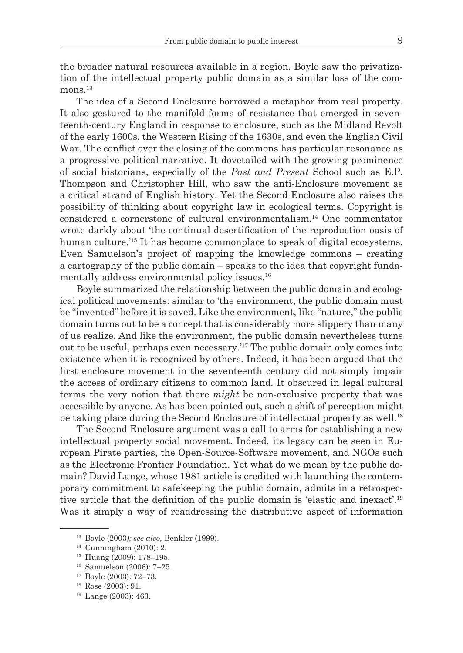the broader natural resources available in a region. Boyle saw the privatization of the intellectual property public domain as a similar loss of the com $mons$ <sup>13</sup>

The idea of a Second Enclosure borrowed a metaphor from real property. It also gestured to the manifold forms of resistance that emerged in seventeenth-century England in response to enclosure, such as the Midland Revolt of the early 1600s, the Western Rising of the 1630s, and even the English Civil War. The conflict over the closing of the commons has particular resonance as a progressive political narrative. It dovetailed with the growing prominence of social historians, especially of the *Past and Present* School such as E.P. Thompson and Christopher Hill, who saw the anti-Enclosure movement as a critical strand of English history. Yet the Second Enclosure also raises the possibility of thinking about copyright law in ecological terms. Copyright is considered a cornerstone of cultural environmentalism.14 One commentator wrote darkly about 'the continual desertification of the reproduction oasis of human culture.<sup>'15</sup> It has become commonplace to speak of digital ecosystems. Even Samuelson's project of mapping the knowledge commons – creating a cartography of the public domain – speaks to the idea that copyright fundamentally address environmental policy issues.<sup>16</sup>

Boyle summarized the relationship between the public domain and ecological political movements: similar to 'the environment, the public domain must be "invented" before it is saved. Like the environment, like "nature," the public domain turns out to be a concept that is considerably more slippery than many of us realize. And like the environment, the public domain nevertheless turns out to be useful, perhaps even necessary.'17 The public domain only comes into existence when it is recognized by others. Indeed, it has been argued that the first enclosure movement in the seventeenth century did not simply impair the access of ordinary citizens to common land. It obscured in legal cultural terms the very notion that there *might* be non-exclusive property that was accessible by anyone. As has been pointed out, such a shift of perception might be taking place during the Second Enclosure of intellectual property as well.<sup>18</sup>

The Second Enclosure argument was a call to arms for establishing a new intellectual property social movement. Indeed, its legacy can be seen in European Pirate parties, the Open-Source-Software movement, and NGOs such as the Electronic Frontier Foundation. Yet what do we mean by the public domain? David Lange, whose 1981 article is credited with launching the contemporary commitment to safekeeping the public domain, admits in a retrospective article that the definition of the public domain is 'elastic and inexact'.<sup>19</sup> Was it simply a way of readdressing the distributive aspect of information

<sup>13</sup> Boyle (2003*); see also,* Benkler (1999).

<sup>14</sup> Cunningham (2010): 2.

<sup>15</sup> Huang (2009): 178–195. 16 Samuelson (2006): 7–25. 17 Boyle (2003): 72–73.

<sup>18</sup> Rose (2003): 91.

<sup>19</sup> Lange (2003): 463.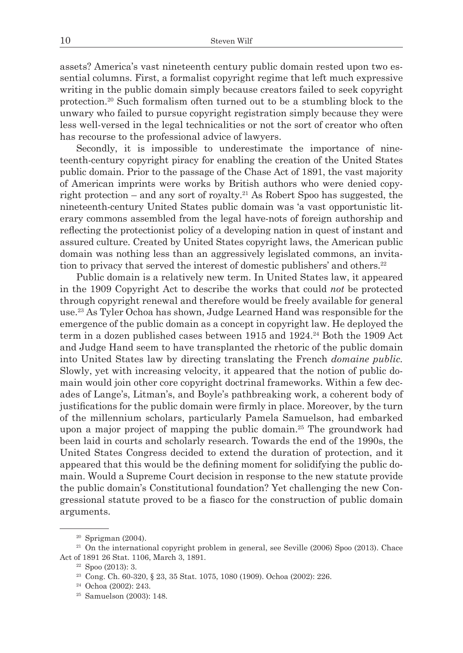assets? America's vast nineteenth century public domain rested upon two essential columns. First, a formalist copyright regime that left much expressive writing in the public domain simply because creators failed to seek copyright protection.20 Such formalism often turned out to be a stumbling block to the unwary who failed to pursue copyright registration simply because they were less well-versed in the legal technicalities or not the sort of creator who often has recourse to the professional advice of lawyers.

Secondly, it is impossible to underestimate the importance of nineteenth-century copyright piracy for enabling the creation of the United States public domain. Prior to the passage of the Chase Act of 1891, the vast majority of American imprints were works by British authors who were denied copyright protection – and any sort of royalty.<sup>21</sup> As Robert Spoo has suggested, the nineteenth-century United States public domain was 'a vast opportunistic literary commons assembled from the legal have-nots of foreign authorship and reflecting the protectionist policy of a developing nation in quest of instant and assured culture. Created by United States copyright laws, the American public domain was nothing less than an aggressively legislated commons, an invitation to privacy that served the interest of domestic publishers' and others.<sup>22</sup>

Public domain is a relatively new term. In United States law, it appeared in the 1909 Copyright Act to describe the works that could *not* be protected through copyright renewal and therefore would be freely available for general use.23 As Tyler Ochoa has shown, Judge Learned Hand was responsible for the emergence of the public domain as a concept in copyright law. He deployed the term in a dozen published cases between 1915 and 1924.<sup>24</sup> Both the 1909 Act and Judge Hand seem to have transplanted the rhetoric of the public domain into United States law by directing translating the French *domaine public.*  Slowly, yet with increasing velocity, it appeared that the notion of public domain would join other core copyright doctrinal frameworks. Within a few decades of Lange's, Litman's, and Boyle's pathbreaking work, a coherent body of justifications for the public domain were firmly in place. Moreover, by the turn of the millennium scholars, particularly Pamela Samuelson, had embarked upon a major project of mapping the public domain.25 The groundwork had been laid in courts and scholarly research. Towards the end of the 1990s, the United States Congress decided to extend the duration of protection, and it appeared that this would be the defining moment for solidifying the public domain. Would a Supreme Court decision in response to the new statute provide the public domain's Constitutional foundation? Yet challenging the new Congressional statute proved to be a fiasco for the construction of public domain arguments.

<sup>&</sup>lt;sup>20</sup> Sprigman (2004). <sup>21</sup> On the international copyright problem in general, see Seville (2006) Spoo (2013). Chace Act of 1891 26 Stat. 1106, March 3, 1891.<br><sup>22</sup> Spoo (2013): 3.

<sup>23</sup> Cong. Ch. 60-320, § 23, 35 Stat. 1075, 1080 (1909). Ochoa (2002): 226.

<sup>24</sup> Ochoa (2002): 243.

<sup>25</sup> Samuelson (2003): 148.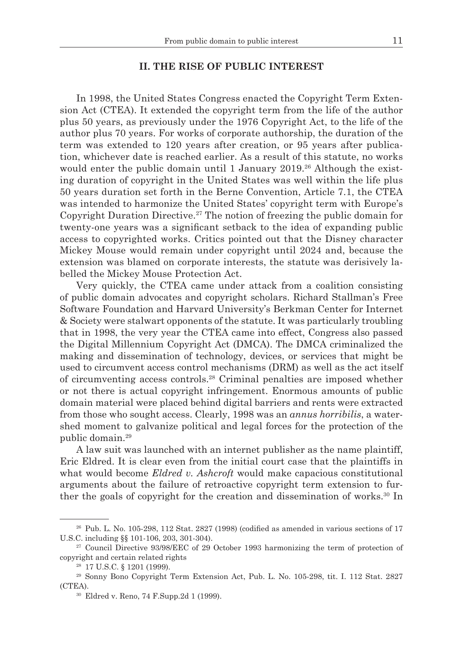### **II. THE RISE OF PUBLIC INTEREST**

In 1998, the United States Congress enacted the Copyright Term Extension Act (CTEA). It extended the copyright term from the life of the author plus 50 years, as previously under the 1976 Copyright Act, to the life of the author plus 70 years. For works of corporate authorship, the duration of the term was extended to 120 years after creation, or 95 years after publication, whichever date is reached earlier. As a result of this statute, no works would enter the public domain until 1 January  $2019<sup>26</sup>$  Although the existing duration of copyright in the United States was well within the life plus 50 years duration set forth in the Berne Convention, Article 7.1, the CTEA was intended to harmonize the United States' copyright term with Europe's Copyright Duration Directive.<sup>27</sup> The notion of freezing the public domain for twenty-one years was a significant setback to the idea of expanding public access to copyrighted works. Critics pointed out that the Disney character Mickey Mouse would remain under copyright until 2024 and, because the extension was blamed on corporate interests, the statute was derisively labelled the Mickey Mouse Protection Act.

Very quickly, the CTEA came under attack from a coalition consisting of public domain advocates and copyright scholars. Richard Stallman's Free Software Foundation and Harvard University's Berkman Center for Internet & Society were stalwart opponents of the statute. It was particularly troubling that in 1998, the very year the CTEA came into effect, Congress also passed the Digital Millennium Copyright Act (DMCA). The DMCA criminalized the making and dissemination of technology, devices, or services that might be used to circumvent access control mechanisms (DRM) as well as the act itself of circumventing access controls.28 Criminal penalties are imposed whether or not there is actual copyright infringement. Enormous amounts of public domain material were placed behind digital barriers and rents were extracted from those who sought access. Clearly, 1998 was an *annus horribilis*, a watershed moment to galvanize political and legal forces for the protection of the public domain.29

A law suit was launched with an internet publisher as the name plaintiff, Eric Eldred. It is clear even from the initial court case that the plaintiffs in what would become *Eldred v. Ashcroft* would make capacious constitutional arguments about the failure of retroactive copyright term extension to further the goals of copyright for the creation and dissemination of works.<sup>30</sup> In

 $26$  Pub. L. No. 105-298, 112 Stat. 2827 (1998) (codified as amended in various sections of 17 U.S.C. including §§ 101-106, 203, 301-304).

<sup>&</sup>lt;sup>27</sup> Council Directive 93/98/EEC of 29 October 1993 harmonizing the term of protection of copyright and certain related rights

<sup>28</sup> 17 U.S.C. § 1201 (1999). 29 Sonny Bono Copyright Term Extension Act, Pub. L. No. 105-298, tit. I. 112 Stat. 2827 (CTEA).

<sup>30</sup> Eldred v. Reno, 74 F.Supp.2d 1 (1999).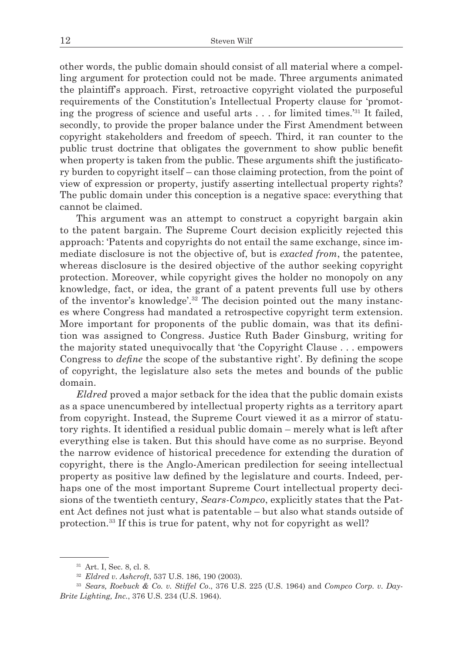other words, the public domain should consist of all material where a compelling argument for protection could not be made. Three arguments animated the plaintiff's approach. First, retroactive copyright violated the purposeful requirements of the Constitution's Intellectual Property clause for 'promoting the progress of science and useful arts . . . for limited times.'31 It failed, secondly, to provide the proper balance under the First Amendment between copyright stakeholders and freedom of speech. Third, it ran counter to the public trust doctrine that obligates the government to show public benefit when property is taken from the public. These arguments shift the justificatory burden to copyright itself – can those claiming protection, from the point of view of expression or property, justify asserting intellectual property rights? The public domain under this conception is a negative space: everything that cannot be claimed.

This argument was an attempt to construct a copyright bargain akin to the patent bargain. The Supreme Court decision explicitly rejected this approach: 'Patents and copyrights do not entail the same exchange, since immediate disclosure is not the objective of, but is *exacted from*, the patentee, whereas disclosure is the desired objective of the author seeking copyright protection. Moreover, while copyright gives the holder no monopoly on any knowledge, fact, or idea, the grant of a patent prevents full use by others of the inventor's knowledge'.32 The decision pointed out the many instances where Congress had mandated a retrospective copyright term extension. More important for proponents of the public domain, was that its definition was assigned to Congress. Justice Ruth Bader Ginsburg, writing for the majority stated unequivocally that 'the Copyright Clause . . . empowers Congress to *define* the scope of the substantive right'. By defining the scope of copyright, the legislature also sets the metes and bounds of the public domain.

*Eldred* proved a major setback for the idea that the public domain exists as a space unencumbered by intellectual property rights as a territory apart from copyright. Instead, the Supreme Court viewed it as a mirror of statutory rights. It identified a residual public domain – merely what is left after everything else is taken. But this should have come as no surprise. Beyond the narrow evidence of historical precedence for extending the duration of copyright, there is the Anglo-American predilection for seeing intellectual property as positive law defined by the legislature and courts. Indeed, perhaps one of the most important Supreme Court intellectual property decisions of the twentieth century, *Sears-Compco*, explicitly states that the Patent Act defines not just what is patentable – but also what stands outside of protection.33 If this is true for patent, why not for copyright as well?

<sup>31</sup> Art. I, Sec. 8, cl. 8. 32 *Eldred v. Ashcroft*, 537 U.S. 186, 190 (2003).

<sup>33</sup> *Sears, Roebuck & Co. v. Stiffel Co*., 376 U.S. 225 (U.S. 1964) and *Compco Corp. v. Day-Brite Lighting, Inc.*, 376 U.S. 234 (U.S. 1964).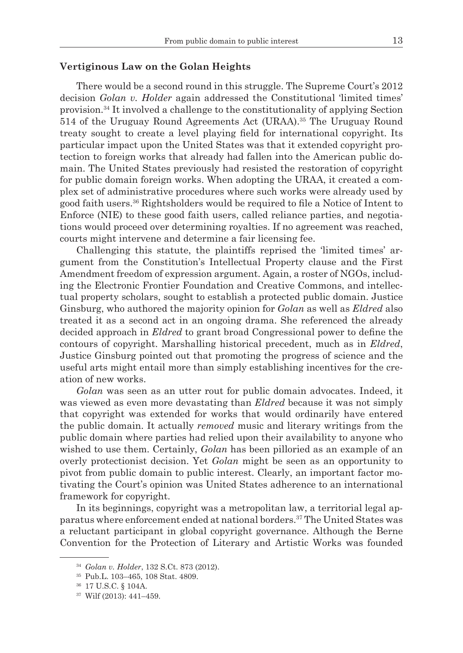### **Vertiginous Law on the Golan Heights**

There would be a second round in this struggle. The Supreme Court's 2012 decision *Golan v. Holder* again addressed the Constitutional 'limited times' provision.34 It involved a challenge to the constitutionality of applying Section 514 of the Uruguay Round Agreements Act (URAA).35 The Uruguay Round treaty sought to create a level playing field for international copyright. Its particular impact upon the United States was that it extended copyright protection to foreign works that already had fallen into the American public domain. The United States previously had resisted the restoration of copyright for public domain foreign works. When adopting the URAA, it created a complex set of administrative procedures where such works were already used by good faith users.36 Rightsholders would be required to file a Notice of Intent to Enforce (NIE) to these good faith users, called reliance parties, and negotiations would proceed over determining royalties. If no agreement was reached, courts might intervene and determine a fair licensing fee.

Challenging this statute, the plaintiffs reprised the 'limited times' argument from the Constitution's Intellectual Property clause and the First Amendment freedom of expression argument. Again, a roster of NGOs, including the Electronic Frontier Foundation and Creative Commons, and intellectual property scholars, sought to establish a protected public domain. Justice Ginsburg, who authored the majority opinion for *Golan* as well as *Eldred* also treated it as a second act in an ongoing drama. She referenced the already decided approach in *Eldred* to grant broad Congressional power to define the contours of copyright. Marshalling historical precedent, much as in *Eldred*, Justice Ginsburg pointed out that promoting the progress of science and the useful arts might entail more than simply establishing incentives for the creation of new works.

*Golan* was seen as an utter rout for public domain advocates. Indeed, it was viewed as even more devastating than *Eldred* because it was not simply that copyright was extended for works that would ordinarily have entered the public domain. It actually *removed* music and literary writings from the public domain where parties had relied upon their availability to anyone who wished to use them. Certainly, *Golan* has been pilloried as an example of an overly protectionist decision. Yet *Golan* might be seen as an opportunity to pivot from public domain to public interest. Clearly, an important factor motivating the Court's opinion was United States adherence to an international framework for copyright.

In its beginnings, copyright was a metropolitan law, a territorial legal apparatus where enforcement ended at national borders.37 The United States was a reluctant participant in global copyright governance. Although the Berne Convention for the Protection of Literary and Artistic Works was founded

<sup>34</sup> *Golan v. Holder*, 132 S.Ct. 873 (2012).

<sup>35</sup> Pub.L. 103–465, 108 Stat. 4809.

<sup>36</sup> 17 U.S.C. § 104A.

<sup>37</sup> Wilf (2013): 441–459.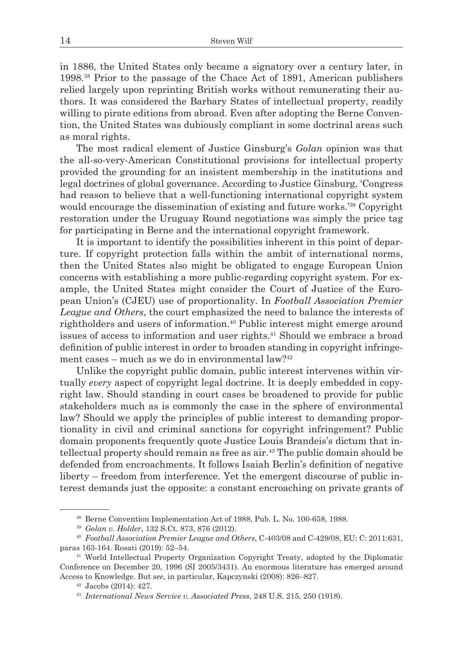in 1886, the United States only became a signatory over a century later, in 1998.38 Prior to the passage of the Chace Act of 1891, American publishers relied largely upon reprinting British works without remunerating their authors. It was considered the Barbary States of intellectual property, readily willing to pirate editions from abroad. Even after adopting the Berne Convention, the United States was dubiously compliant in some doctrinal areas such as moral rights.

The most radical element of Justice Ginsburg's *Golan* opinion was that the all-so-very-American Constitutional provisions for intellectual property provided the grounding for an insistent membership in the institutions and legal doctrines of global governance. According to Justice Ginsburg, 'Congress had reason to believe that a well-functioning international copyright system would encourage the dissemination of existing and future works.<sup>'39</sup> Copyright restoration under the Uruguay Round negotiations was simply the price tag for participating in Berne and the international copyright framework.

It is important to identify the possibilities inherent in this point of departure. If copyright protection falls within the ambit of international norms, then the United States also might be obligated to engage European Union concerns with establishing a more public-regarding copyright system. For example, the United States might consider the Court of Justice of the European Union's (CJEU) use of proportionality. In *Football Association Premier League and Others*, the court emphasized the need to balance the interests of rightholders and users of information.40 Public interest might emerge around issues of access to information and user rights.41 Should we embrace a broad definition of public interest in order to broaden standing in copyright infringement cases – much as we do in environmental law?42

Unlike the copyright public domain, public interest intervenes within virtually *every* aspect of copyright legal doctrine. It is deeply embedded in copyright law. Should standing in court cases be broadened to provide for public stakeholders much as is commonly the case in the sphere of environmental law? Should we apply the principles of public interest to demanding proportionality in civil and criminal sanctions for copyright infringement? Public domain proponents frequently quote Justice Louis Brandeis's dictum that intellectual property should remain as free as air.43 The public domain should be defended from encroachments. It follows Isaiah Berlin's definition of negative liberty – freedom from interference. Yet the emergent discourse of public interest demands just the opposite: a constant encroaching on private grants of

<sup>38</sup> Berne Convention Implementation Act of 1988, Pub. L. No. 100-658, 1988.

<sup>39</sup> *Golan v. Holder*, 132 S.Ct. 873, 876 (2012).

<sup>40</sup> *Football Association Premier League and Others*, C-403/08 and C-429/08, EU: C: 2011:631, paras 163-164. Rosati (2019): 52–54.

<sup>41</sup> World Intellectual Property Organization Copyright Treaty, adopted by the Diplomatic Conference on December 20, 1996 (SI 2005/3431). An enormous literature has emerged around Access to Knowledge. But *see*, in particular, Kapczynski (2008): 826–827.

<sup>42</sup> Jacobs (2014): 427. 43 *International News Service v. Associated Press*, 248 U.S. 215, 250 (1918).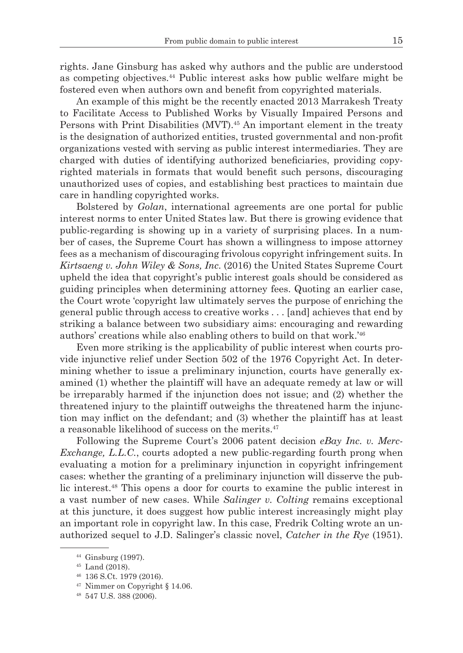rights. Jane Ginsburg has asked why authors and the public are understood as competing objectives.44 Public interest asks how public welfare might be fostered even when authors own and benefit from copyrighted materials.

An example of this might be the recently enacted 2013 Marrakesh Treaty to Facilitate Access to Published Works by Visually Impaired Persons and Persons with Print Disabilities (MVT).<sup>45</sup> An important element in the treaty is the designation of authorized entities, trusted governmental and non-profit organizations vested with serving as public interest intermediaries. They are charged with duties of identifying authorized beneficiaries, providing copyrighted materials in formats that would benefit such persons, discouraging unauthorized uses of copies, and establishing best practices to maintain due care in handling copyrighted works.

Bolstered by *Golan*, international agreements are one portal for public interest norms to enter United States law. But there is growing evidence that public-regarding is showing up in a variety of surprising places. In a number of cases, the Supreme Court has shown a willingness to impose attorney fees as a mechanism of discouraging frivolous copyright infringement suits. In *Kirtsaeng v. John Wiley & Sons, Inc.* (2016) the United States Supreme Court upheld the idea that copyright's public interest goals should be considered as guiding principles when determining attorney fees. Quoting an earlier case, the Court wrote 'copyright law ultimately serves the purpose of enriching the general public through access to creative works . . . [and] achieves that end by striking a balance between two subsidiary aims: encouraging and rewarding authors' creations while also enabling others to build on that work.'46

Even more striking is the applicability of public interest when courts provide injunctive relief under Section 502 of the 1976 Copyright Act. In determining whether to issue a preliminary injunction, courts have generally examined (1) whether the plaintiff will have an adequate remedy at law or will be irreparably harmed if the injunction does not issue; and (2) whether the threatened injury to the plaintiff outweighs the threatened harm the injunction may inflict on the defendant; and (3) whether the plaintiff has at least a reasonable likelihood of success on the merits.47

Following the Supreme Court's 2006 patent decision *eBay Inc. v. Merc-Exchange, L.L.C.*, courts adopted a new public-regarding fourth prong when evaluating a motion for a preliminary injunction in copyright infringement cases: whether the granting of a preliminary injunction will disserve the public interest.48 This opens a door for courts to examine the public interest in a vast number of new cases. While *Salinger v. Colting* remains exceptional at this juncture, it does suggest how public interest increasingly might play an important role in copyright law. In this case, Fredrik Colting wrote an unauthorized sequel to J.D. Salinger's classic novel, *Catcher in the Rye* (1951).

<sup>44</sup> Ginsburg (1997).

 $^{45}$  Land (2018).<br> $^{46}$  136 S.Ct. 1979 (2016).

<sup>47</sup> Nimmer on Copyright § 14.06.

<sup>48</sup> 547 U.S. 388 (2006).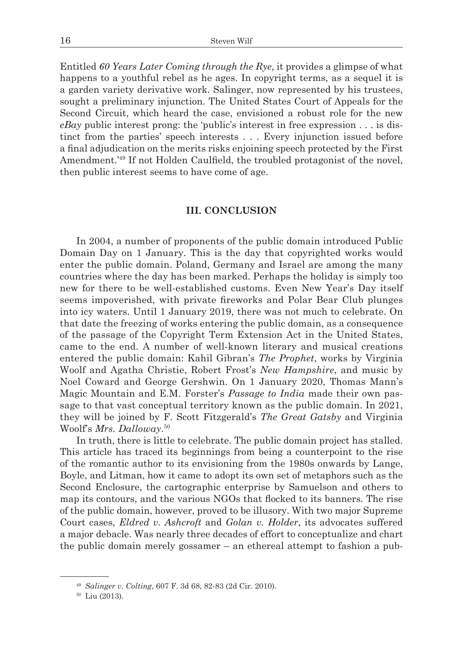Entitled *60 Years Later Coming through the Rye*, it provides a glimpse of what happens to a youthful rebel as he ages. In copyright terms, as a sequel it is a garden variety derivative work. Salinger, now represented by his trustees, sought a preliminary injunction. The United States Court of Appeals for the Second Circuit, which heard the case, envisioned a robust role for the new *eBay* public interest prong: the 'public's interest in free expression . . . is distinct from the parties' speech interests . . . Every injunction issued before a final adjudication on the merits risks enjoining speech protected by the First Amendment.'49 If not Holden Caulfield, the troubled protagonist of the novel, then public interest seems to have come of age.

#### **III. CONCLUSION**

In 2004, a number of proponents of the public domain introduced Public Domain Day on 1 January. This is the day that copyrighted works would enter the public domain. Poland, Germany and Israel are among the many countries where the day has been marked. Perhaps the holiday is simply too new for there to be well-established customs. Even New Year's Day itself seems impoverished, with private fireworks and Polar Bear Club plunges into icy waters. Until 1 January 2019, there was not much to celebrate. On that date the freezing of works entering the public domain, as a consequence of the passage of the Copyright Term Extension Act in the United States, came to the end. A number of well-known literary and musical creations entered the public domain: Kahil Gibran's *The Prophet*, works by Virginia Woolf and Agatha Christie, Robert Frost's *New Hampshire*, and music by Noel Coward and George Gershwin. On 1 January 2020, Thomas Mann's Magic Mountain and E.M. Forster's *Passage to India* made their own passage to that vast conceptual territory known as the public domain. In 2021, they will be joined by F. Scott Fitzgerald's *The Great Gatsby* and Virginia Woolf's *Mrs. Dalloway*. 50

In truth, there is little to celebrate. The public domain project has stalled. This article has traced its beginnings from being a counterpoint to the rise of the romantic author to its envisioning from the 1980s onwards by Lange, Boyle, and Litman, how it came to adopt its own set of metaphors such as the Second Enclosure, the cartographic enterprise by Samuelson and others to map its contours, and the various NGOs that flocked to its banners. The rise of the public domain, however, proved to be illusory. With two major Supreme Court cases, *Eldred v. Ashcroft* and *Golan v. Holder*, its advocates suffered a major debacle. Was nearly three decades of effort to conceptualize and chart the public domain merely gossamer – an ethereal attempt to fashion a pub-

<sup>49</sup> *Salinger v. Colting*, 607 F. 3d 68, 82-83 (2d Cir. 2010).

<sup>50</sup> Liu (2013).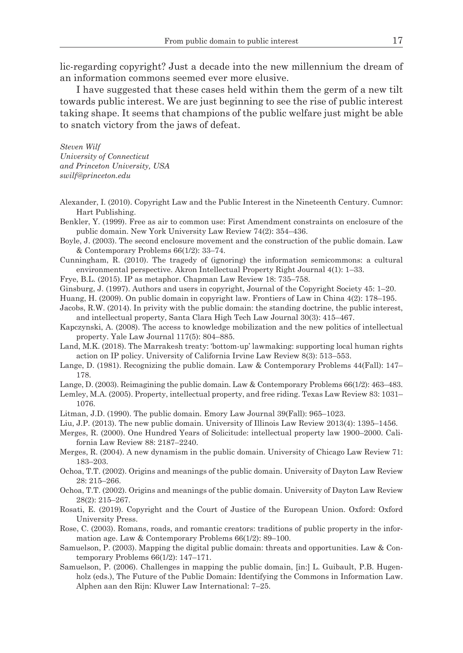lic-regarding copyright? Just a decade into the new millennium the dream of an information commons seemed ever more elusive.

I have suggested that these cases held within them the germ of a new tilt towards public interest. We are just beginning to see the rise of public interest taking shape. It seems that champions of the public welfare just might be able to snatch victory from the jaws of defeat.

*Steven Wilf University of Connecticut and Princeton University, USA swilf@princeton.edu*

- Alexander, I. (2010). Copyright Law and the Public Interest in the Nineteenth Century. Cumnor: Hart Publishing.
- Benkler, Y. (1999). Free as air to common use: First Amendment constraints on enclosure of the public domain. New York University Law Review 74(2): 354–436.
- Boyle, J. (2003). The second enclosure movement and the construction of the public domain. Law & Contemporary Problems 66(1/2): 33–74.
- Cunningham, R. (2010). The tragedy of (ignoring) the information semicommons: a cultural environmental perspective. Akron Intellectual Property Right Journal 4(1): 1–33.
- Frye, B.L. (2015). IP as metaphor. Chapman Law Review 18: 735–758.
- Ginsburg, J. (1997). Authors and users in copyright, Journal of the Copyright Society 45: 1–20.
- Huang, H. (2009). On public domain in copyright law. Frontiers of Law in China 4(2): 178–195.
- Jacobs, R.W. (2014). In privity with the public domain: the standing doctrine, the public interest, and intellectual property, Santa Clara High Tech Law Journal 30(3): 415–467.
- Kapczynski, A. (2008). The access to knowledge mobilization and the new politics of intellectual property. Yale Law Journal 117(5): 804–885.
- Land, M.K. (2018). The Marrakesh treaty: 'bottom-up' lawmaking: supporting local human rights action on IP policy. University of California Irvine Law Review 8(3): 513–553.
- Lange, D. (1981). Recognizing the public domain. Law & Contemporary Problems 44(Fall): 147– 178.
- Lange, D. (2003). Reimagining the public domain. Law & Contemporary Problems 66(1/2): 463–483.
- Lemley, M.A. (2005). Property, intellectual property, and free riding. Texas Law Review 83: 1031– 1076.
- Litman, J.D. (1990). The public domain. Emory Law Journal 39(Fall): 965–1023.
- Liu, J.P. (2013). The new public domain. University of Illinois Law Review 2013(4): 1395–1456.
- Merges, R. (2000). One Hundred Years of Solicitude: intellectual property law 1900–2000. California Law Review 88: 2187–2240.
- Merges, R. (2004). A new dynamism in the public domain. University of Chicago Law Review 71: 183–203.
- Ochoa, T.T. (2002). Origins and meanings of the public domain. University of Dayton Law Review 28: 215–266.
- Ochoa, T.T. (2002). Origins and meanings of the public domain. University of Dayton Law Review 28(2): 215–267.
- Rosati, E. (2019). Copyright and the Court of Justice of the European Union. Oxford: Oxford University Press.
- Rose, C. (2003). Romans, roads, and romantic creators: traditions of public property in the information age. Law & Contemporary Problems 66(1/2): 89–100.
- Samuelson, P. (2003). Mapping the digital public domain: threats and opportunities. Law & Contemporary Problems 66(1/2): 147–171.
- Samuelson, P. (2006). Challenges in mapping the public domain, [in:] L. Guibault, P.B. Hugenholz (eds.), The Future of the Public Domain: Identifying the Commons in Information Law. Alphen aan den Rijn: Kluwer Law International: 7–25.